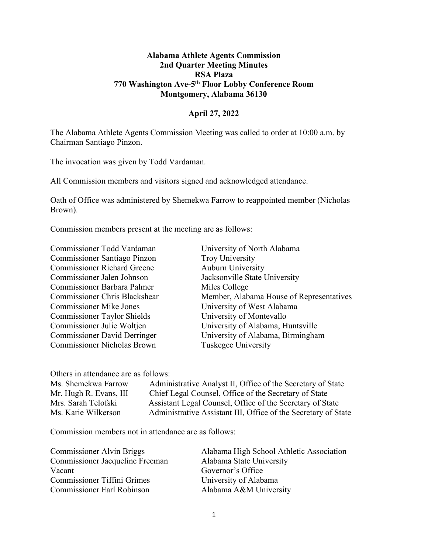## **Alabama Athlete Agents Commission 2nd Quarter Meeting Minutes RSA Plaza 770 Washington Ave-5th Floor Lobby Conference Room Montgomery, Alabama 36130**

## **April 27, 2022**

The Alabama Athlete Agents Commission Meeting was called to order at 10:00 a.m. by Chairman Santiago Pinzon.

The invocation was given by Todd Vardaman.

All Commission members and visitors signed and acknowledged attendance.

Oath of Office was administered by Shemekwa Farrow to reappointed member (Nicholas Brown).

Commission members present at the meeting are as follows:

Commissioner Santiago Pinzon Troy University Commissioner Richard Greene Auburn University Commissioner Jalen Johnson Jacksonville State University Commissioner Barbara Palmer Miles College Commissioner Mike Jones University of West Alabama Commissioner Taylor Shields University of Montevallo Commissioner Nicholas Brown Tuskegee University

Commissioner Todd Vardaman University of North Alabama Commissioner Chris Blackshear Member, Alabama House of Representatives Commissioner Julie Woltjen University of Alabama, Huntsville Commissioner David Derringer University of Alabama, Birmingham

Others in attendance are as follows:

Ms. Shemekwa Farrow Administrative Analyst II, Office of the Secretary of State Mr. Hugh R. Evans, III Chief Legal Counsel, Office of the Secretary of State Mrs. Sarah Telofski Assistant Legal Counsel, Office of the Secretary of State Ms. Karie Wilkerson Administrative Assistant III, Office of the Secretary of State

Commission members not in attendance are as follows:

| Alabama High School Athletic Association |
|------------------------------------------|
| Alabama State University                 |
| Governor's Office                        |
| University of Alabama                    |
| Alabama A&M University                   |
|                                          |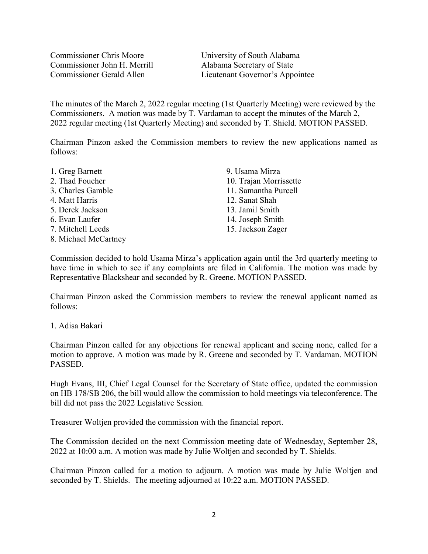Commissioner Chris Moore University of South Alabama Commissioner John H. Merrill Alabama Secretary of State

Commissioner Gerald Allen Lieutenant Governor's Appointee

The minutes of the March 2, 2022 regular meeting (1st Quarterly Meeting) were reviewed by the Commissioners. A motion was made by T. Vardaman to accept the minutes of the March 2, 2022 regular meeting (1st Quarterly Meeting) and seconded by T. Shield. MOTION PASSED.

Chairman Pinzon asked the Commission members to review the new applications named as follows:

1. Greg Barnett 2. Thad Foucher 3. Charles Gamble 4. Matt Harris 5. Derek Jackson 6. Evan Laufer 7. Mitchell Leeds 8. Michael McCartney 9. Usama Mirza 10. Trajan Morrissette 11. Samantha Purcell 12. Sanat Shah 13. Jamil Smith 14. Joseph Smith 15. Jackson Zager

Commission decided to hold Usama Mirza's application again until the 3rd quarterly meeting to have time in which to see if any complaints are filed in California. The motion was made by Representative Blackshear and seconded by R. Greene. MOTION PASSED.

Chairman Pinzon asked the Commission members to review the renewal applicant named as follows:

## 1. Adisa Bakari

Chairman Pinzon called for any objections for renewal applicant and seeing none, called for a motion to approve. A motion was made by R. Greene and seconded by T. Vardaman. MOTION PASSED.

Hugh Evans, III, Chief Legal Counsel for the Secretary of State office, updated the commission on HB 178/SB 206, the bill would allow the commission to hold meetings via teleconference. The bill did not pass the 2022 Legislative Session.

Treasurer Woltjen provided the commission with the financial report.

The Commission decided on the next Commission meeting date of Wednesday, September 28, 2022 at 10:00 a.m. A motion was made by Julie Woltjen and seconded by T. Shields.

Chairman Pinzon called for a motion to adjourn. A motion was made by Julie Woltjen and seconded by T. Shields. The meeting adjourned at 10:22 a.m. MOTION PASSED.